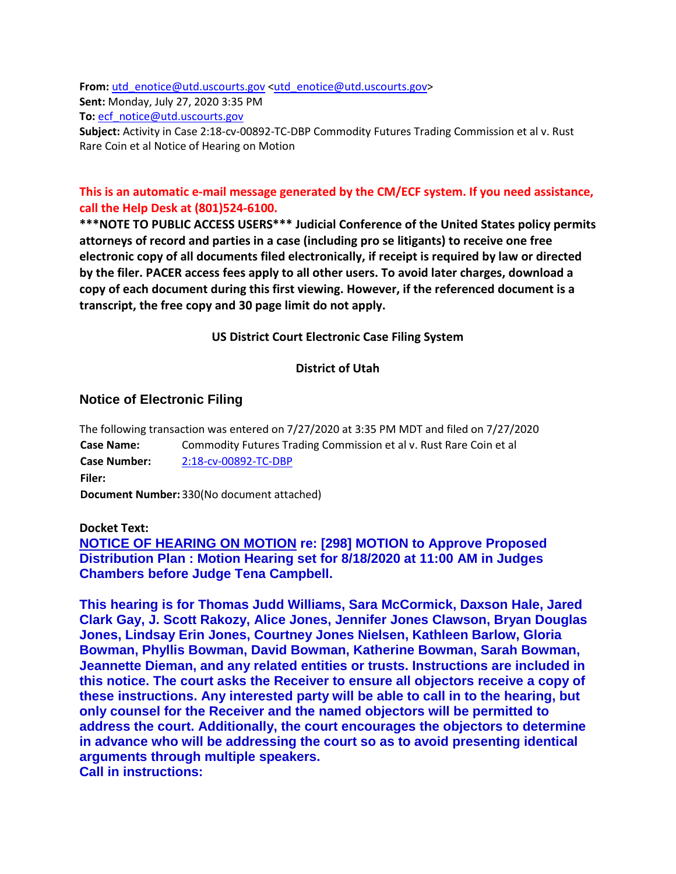From: [utd\\_enotice@utd.uscourts.gov](mailto:utd_enotice@utd.uscourts.gov)[<utd\\_enotice@utd.uscourts.gov>](mailto:utd_enotice@utd.uscourts.gov) **Sent:** Monday, July 27, 2020 3:35 PM **To:** [ecf\\_notice@utd.uscourts.gov](mailto:ecf_notice@utd.uscourts.gov)

**Subject:** Activity in Case 2:18-cv-00892-TC-DBP Commodity Futures Trading Commission et al v. Rust Rare Coin et al Notice of Hearing on Motion

# **This is an automatic e-mail message generated by the CM/ECF system. If you need assistance, call the Help Desk at (801)524-6100.**

**\*\*\*NOTE TO PUBLIC ACCESS USERS\*\*\* Judicial Conference of the United States policy permits attorneys of record and parties in a case (including pro se litigants) to receive one free electronic copy of all documents filed electronically, if receipt is required by law or directed by the filer. PACER access fees apply to all other users. To avoid later charges, download a copy of each document during this first viewing. However, if the referenced document is a transcript, the free copy and 30 page limit do not apply.**

### **US District Court Electronic Case Filing System**

## **District of Utah**

## **Notice of Electronic Filing**

The following transaction was entered on 7/27/2020 at 3:35 PM MDT and filed on 7/27/2020 **Case Name:** Commodity Futures Trading Commission et al v. Rust Rare Coin et al **Case Number:** [2:18-cv-00892-TC-DBP](https://protect-us.mimecast.com/s/jYayCAD2nXhY3NXfGKp6Z?domain=ecf.utd.uscourts.gov) **Filer: Document Number:**330(No document attached)

### **Docket Text:**

**NOTICE OF HEARING ON MOTION re: [298] MOTION to Approve Proposed Distribution Plan : Motion Hearing set for 8/18/2020 at 11:00 AM in Judges Chambers before Judge Tena Campbell.** 

**This hearing is for Thomas Judd Williams, Sara McCormick, Daxson Hale, Jared Clark Gay, J. Scott Rakozy, Alice Jones, Jennifer Jones Clawson, Bryan Douglas Jones, Lindsay Erin Jones, Courtney Jones Nielsen, Kathleen Barlow, Gloria Bowman, Phyllis Bowman, David Bowman, Katherine Bowman, Sarah Bowman, Jeannette Dieman, and any related entities or trusts. Instructions are included in this notice. The court asks the Receiver to ensure all objectors receive a copy of these instructions. Any interested party will be able to call in to the hearing, but only counsel for the Receiver and the named objectors will be permitted to address the court. Additionally, the court encourages the objectors to determine in advance who will be addressing the court so as to avoid presenting identical arguments through multiple speakers.**

**Call in instructions:**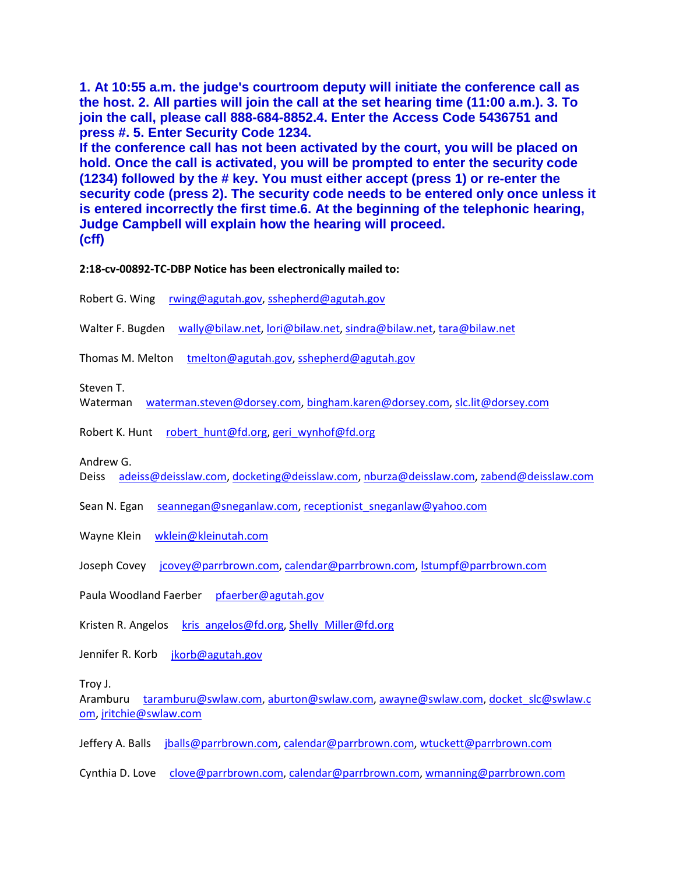**1. At 10:55 a.m. the judge's courtroom deputy will initiate the conference call as the host. 2. All parties will join the call at the set hearing time (11:00 a.m.). 3. To join the call, please call 888-684-8852.4. Enter the Access Code 5436751 and press #. 5. Enter Security Code 1234.**

**If the conference call has not been activated by the court, you will be placed on hold. Once the call is activated, you will be prompted to enter the security code (1234) followed by the # key. You must either accept (press 1) or re-enter the security code (press 2). The security code needs to be entered only once unless it is entered incorrectly the first time.6. At the beginning of the telephonic hearing, Judge Campbell will explain how the hearing will proceed. (cff)** 

**2:18-cv-00892-TC-DBP Notice has been electronically mailed to:** 

Robert G. Wing [rwing@agutah.gov,](mailto:rwing@agutah.gov) [sshepherd@agutah.gov](mailto:sshepherd@agutah.gov)

Walter F. Bugden [wally@bilaw.net,](mailto:wally@bilaw.net) [lori@bilaw.net,](mailto:lori@bilaw.net) [sindra@bilaw.net,](mailto:sindra@bilaw.net) [tara@bilaw.net](mailto:tara@bilaw.net)

Thomas M. Melton [tmelton@agutah.gov,](mailto:tmelton@agutah.gov) [sshepherd@agutah.gov](mailto:sshepherd@agutah.gov)

Steven T.

Waterman [waterman.steven@dorsey.com,](mailto:waterman.steven@dorsey.com) [bingham.karen@dorsey.com,](mailto:bingham.karen@dorsey.com) [slc.lit@dorsey.com](mailto:slc.lit@dorsey.com)

Robert K. Hunt [robert\\_hunt@fd.org,](mailto:robert_hunt@fd.org) [geri\\_wynhof@fd.org](mailto:geri_wynhof@fd.org)

Andrew G.

Deiss [adeiss@deisslaw.com,](mailto:adeiss@deisslaw.com) [docketing@deisslaw.com,](mailto:docketing@deisslaw.com) [nburza@deisslaw.com,](mailto:nburza@deisslaw.com) [zabend@deisslaw.com](mailto:zabend@deisslaw.com)

Sean N. Egan [seannegan@sneganlaw.com,](mailto:seannegan@sneganlaw.com) [receptionist\\_sneganlaw@yahoo.com](mailto:receptionist_sneganlaw@yahoo.com)

Wayne Klein [wklein@kleinutah.com](mailto:wklein@kleinutah.com)

Joseph Covey [jcovey@parrbrown.com,](mailto:jcovey@parrbrown.com) [calendar@parrbrown.com,](mailto:calendar@parrbrown.com) [lstumpf@parrbrown.com](mailto:lstumpf@parrbrown.com)

Paula Woodland Faerber [pfaerber@agutah.gov](mailto:pfaerber@agutah.gov)

Kristen R. Angelos [kris\\_angelos@fd.org,](mailto:kris_angelos@fd.org) [Shelly\\_Miller@fd.org](mailto:Shelly_Miller@fd.org)

Jennifer R. Korb [jkorb@agutah.gov](mailto:jkorb@agutah.gov)

Troy J.

Aramburu [taramburu@swlaw.com,](mailto:taramburu@swlaw.com) [aburton@swlaw.com,](mailto:aburton@swlaw.com) [awayne@swlaw.com,](mailto:awayne@swlaw.com) [docket\\_slc@swlaw.c](mailto:docket_slc@swlaw.com) [om,](mailto:docket_slc@swlaw.com) [jritchie@swlaw.com](mailto:jritchie@swlaw.com)

Jeffery A. Balls [jballs@parrbrown.com,](mailto:jballs@parrbrown.com) [calendar@parrbrown.com,](mailto:calendar@parrbrown.com) [wtuckett@parrbrown.com](mailto:wtuckett@parrbrown.com)

Cynthia D. Love [clove@parrbrown.com,](mailto:clove@parrbrown.com) [calendar@parrbrown.com,](mailto:calendar@parrbrown.com) [wmanning@parrbrown.com](mailto:wmanning@parrbrown.com)